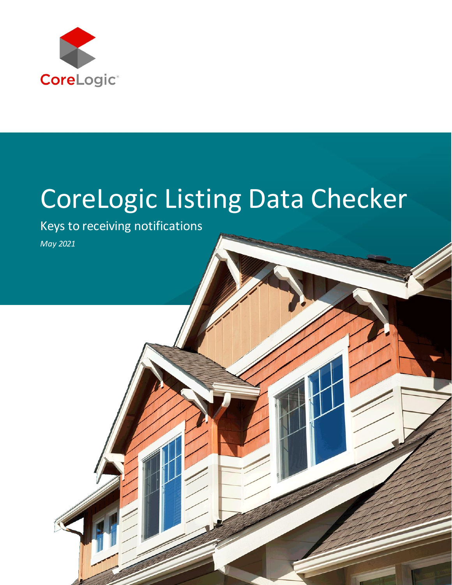

# CoreLogic Listing Data Checker

Keys to receiving notifications

*May 2021*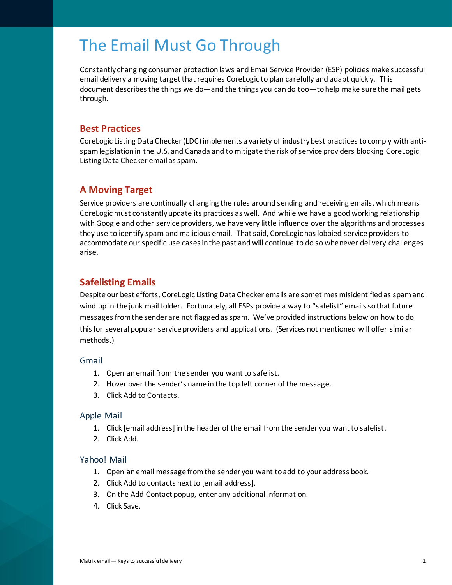# The Email Must Go Through

Constantly changing consumer protection laws and Email Service Provider (ESP) policies make successful email delivery a moving target that requires CoreLogic to plan carefully and adapt quickly. This document describes the things we do—and the things you can do too—to help make sure the mail gets through.

# **Best Practices**

CoreLogic Listing Data Checker (LDC) implements a variety of industry best practices to comply with antispam legislation in the U.S. and Canada and to mitigate the risk of service providers blocking CoreLogic Listing Data Checker email as spam.

# **A Moving Target**

Service providers are continually changing the rules around sending and receiving emails, which means CoreLogic must constantly update its practices as well. And while we have a good working relationship with Google and other service providers, we have very little influence over the algorithms and processes they use to identify spam and malicious email. That said, CoreLogic has lobbied service providers to accommodate our specific use cases in the past and will continue to do so whenever delivery challenges arise.

# **Safelisting Emails**

Despite our best efforts, CoreLogic Listing Data Checker emails are sometimes misidentified as spam and wind up in the junk mail folder. Fortunately, all ESPs provide a way to "safelist" emails so that future messages from the sender are not flagged as spam. We've provided instructions below on how to do this for several popular service providers and applications. (Services not mentioned will offer similar methods.)

# Gmail

- 1. Open an email from the sender you want to safelist.
- 2. Hover over the sender's name in the top left corner of the message.
- 3. Click Add to Contacts.

# Apple Mail

- 1. Click [email address] in the header of the email from the sender you want to safelist.
- 2. Click Add.

#### Yahoo! Mail

- 1. Open anemail message from the sender you want to add to your address book.
- 2. Click Add to contacts next to [email address].
- 3. On the Add Contact popup, enter any additional information.
- 4. Click Save.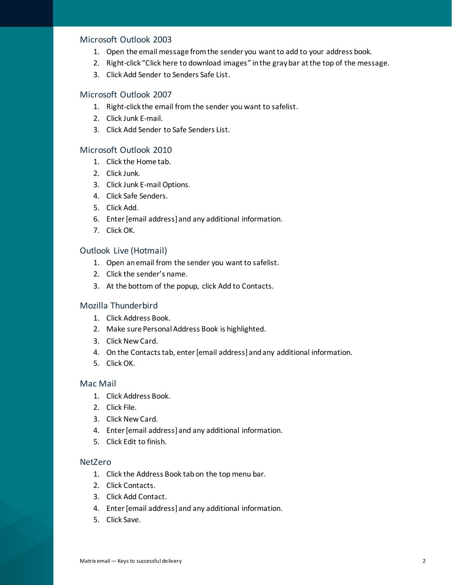#### Microsoft Outlook 2003

- 1. Open the email message from the sender you want to add to your address book.
- 2. Right-click "Click here to download images" in the gray bar at the top of the message.
- 3. Click Add Sender to Senders Safe List.

# Microsoft Outlook 2007

- 1. Right-click the email from the sender you want to safelist.
- 2. Click Junk E-mail.
- 3. Click Add Sender to Safe Senders List.

#### Microsoft Outlook 2010

- 1. Click the Home tab.
- 2. Click Junk.
- 3. Click Junk E-mail Options.
- 4. Click Safe Senders.
- 5. Click Add.
- 6. Enter [email address] and any additional information.
- 7. Click OK.

#### Outlook Live (Hotmail)

- 1. Open an email from the sender you want to safelist.
- 2. Click the sender's name.
- 3. At the bottom of the popup, click Add to Contacts.

#### Mozilla Thunderbird

- 1. Click Address Book.
- 2. Make sure Personal Address Book is highlighted.
- 3. Click New Card.
- 4. On the Contacts tab, enter [email address] and any additional information.
- 5. Click OK.

#### Mac Mail

- 1. Click Address Book.
- 2. Click File.
- 3. Click New Card.
- 4. Enter [email address] and any additional information.
- 5. Click Edit to finish.

#### NetZero

- 1. Click the Address Book tab on the top menu bar.
- 2. Click Contacts.
- 3. Click Add Contact.
- 4. Enter [email address] and any additional information.
- 5. Click Save.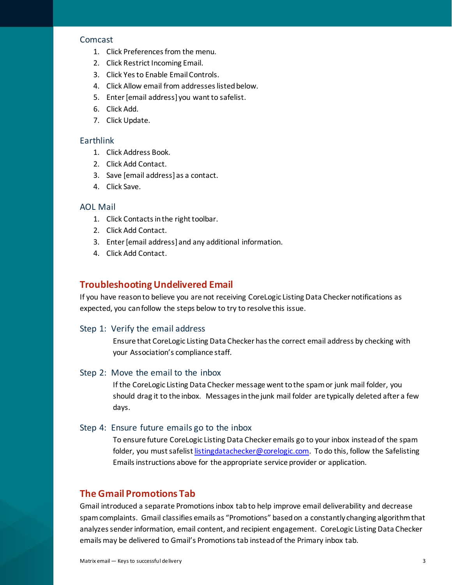#### Comcast

- 1. Click Preferences from the menu.
- 2. Click Restrict Incoming Email.
- 3. Click Yes to Enable Email Controls.
- 4. Click Allow email from addresses listed below.
- 5. Enter [email address] you want to safelist.
- 6. Click Add.
- 7. Click Update.

#### **Earthlink**

- 1. Click Address Book.
- 2. Click Add Contact.
- 3. Save [email address] as a contact.
- 4. Click Save.

#### AOL Mail

- 1. Click Contacts in the right toolbar.
- 2. Click Add Contact.
- 3. Enter [email address] and any additional information.
- 4. Click Add Contact.

#### **Troubleshooting Undelivered Email**

If you have reason to believe you are not receiving CoreLogic Listing Data Checker notifications as expected, you can follow the steps below to try to resolve this issue.

#### Step 1: Verify the email address

Ensure that CoreLogic Listing Data Checker has the correct email address by checking with your Association's compliance staff.

#### Step 2: Move the email to the inbox

If the CoreLogic Listing Data Checker message wentto the spam or junk mail folder, you should drag it to the inbox. Messages in the junk mail folder are typically deleted after a few days.

#### Step 4: Ensure future emails go to the inbox

To ensure future CoreLogic Listing Data Checker emails go to your inbox instead of the spam folder, you must safelist [listingdatachecker@corelogic.com.](mailto:listingdatachecker@corelogic.com) To do this, follow the Safelisting Emails instructions above for the appropriate service provider or application.

# **The Gmail Promotions Tab**

Gmail introduced a separate Promotions inbox tab to help improve email deliverability and decrease spam complaints. Gmail classifies emails as "Promotions" based on a constantly changing algorithm that analyzessender information, email content, and recipient engagement. CoreLogic Listing Data Checker emails may be delivered to Gmail's Promotions tab instead of the Primary inbox tab.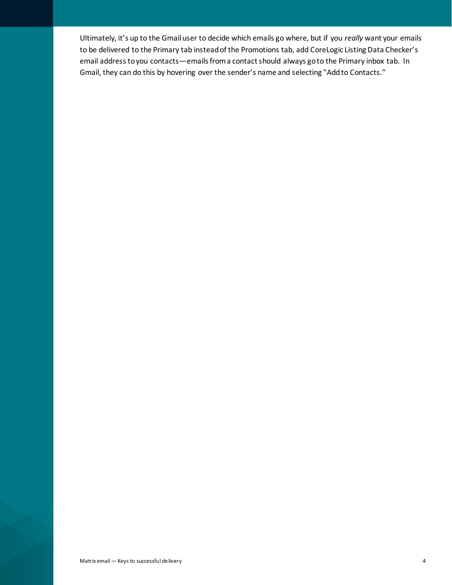Ultimately, it's up to the Gmail user to decide which emails go where, but if you *really* want your emails to be delivered to the Primary tab instead of the Promotions tab, add CoreLogic Listing Data Checker's email address to you contacts—emails from a contact should always go to the Primary inbox tab. In Gmail, they can do this by hovering over the sender's name and selecting "Add to Contacts."